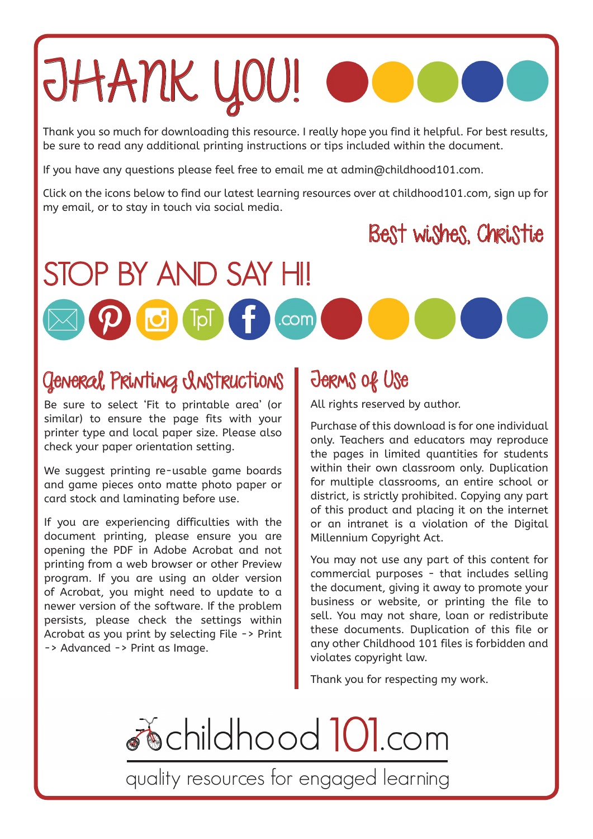# JHANK YOU!

Thank you so much for downloading this resource. I really hope you find it helpful. For best results, be sure to read any additional printing instructions or tips included within the document.

If you have any questions please feel free to email me at admin@childhood101.com.

Click on the icons below to find our latest learning resources over at [childhood101.com](https://childhood101.com/), sign up for my email, or to stay in touch via social media.

[.com](https://childhood101.com/)

# Best wishes, Christie

### General Printing Instructions

 $\boxtimes$ 

STOP BY AND SAY HI!

Be sure to select 'Fit to printable area' (or similar) to ensure the page fits with your printer type and local paper size. Please also check your paper orientation setting.

We suggest printing re-usable game boards and game pieces onto matte photo paper or card stock and laminating before use.

If you are experiencing difficulties with the document printing, please ensure you are opening the PDF in Adobe Acrobat and not printing from a web browser or other Preview program. If you are using an older version of Acrobat, you might need to update to a newer version of the software. If the problem persists, please check the settings within Acrobat as you print by selecting File -> Print -> Advanced -> Print as Image.

## Terms of Use

All rights reserved by author.

Purchase of this download is for one individual only. Teachers and educators may reproduce the pages in limited quantities for students within their own classroom only. Duplication for multiple classrooms, an entire school or district, is strictly prohibited. Copying any part of this product and placing it on the internet or an intranet is a violation of the Digital Millennium Copyright Act.

You may not use any part of this content for commercial purposes - that includes selling the document, giving it away to promote your business or website, or printing the file to sell. You may not share, loan or redistribute these documents. Duplication of this file or any other Childhood 101 files is forbidden and violates copyright law.

Thank you for respecting my work.

 $\delta$  childhood  $10$  com

quality resources for engaged learning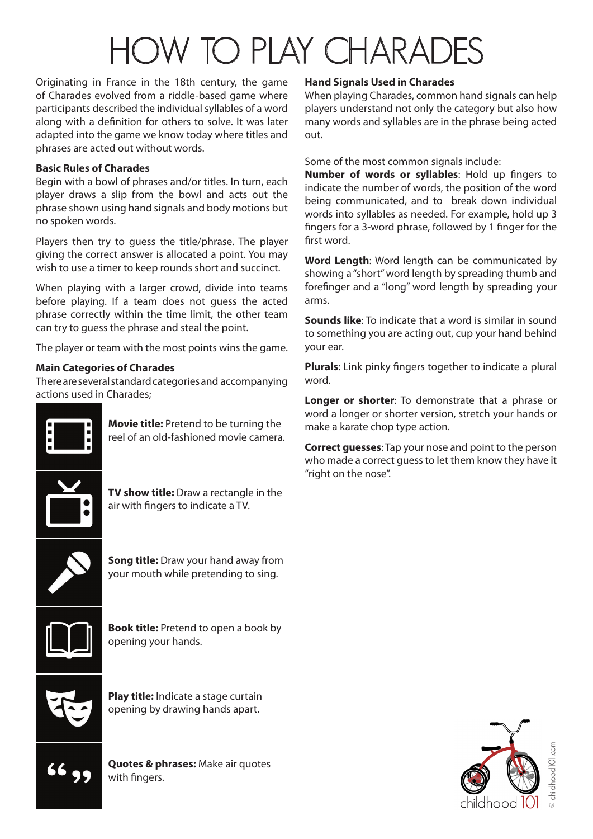# HOW TO PLAY CHARADES

Originating in France in the 18th century, the game of Charades evolved from a riddle-based game where participants described the individual syllables of a word along with a definition for others to solve. It was later adapted into the game we know today where titles and phrases are acted out without words.

### **Basic Rules of Charades**

Begin with a bowl of phrases and/or titles. In turn, each player draws a slip from the bowl and acts out the phrase shown using hand signals and body motions but no spoken words.

Players then try to guess the title/phrase. The player giving the correct answer is allocated a point. You may wish to use a timer to keep rounds short and succinct.

When playing with a larger crowd, divide into teams before playing. If a team does not guess the acted phrase correctly within the time limit, the other team can try to guess the phrase and steal the point.

The player or team with the most points wins the game.

### **Main Categories of Charades**

There are several standard categories and accompanying actions used in Charades;



**Movie title:** Pretend to be turning the reel of an old-fashioned movie camera.



**TV show title:** Draw a rectangle in the air with fingers to indicate a TV.



**Song title:** Draw your hand away from your mouth while pretending to sing.



**Book title:** Pretend to open a book by opening your hands.









### **Hand Signals Used in Charades**

When playing Charades, common hand signals can help players understand not only the category but also how many words and syllables are in the phrase being acted out.

Some of the most common signals include:

**Number of words or syllables**: Hold up fingers to indicate the number of words, the position of the word being communicated, and to break down individual words into syllables as needed. For example, hold up 3 fingers for a 3-word phrase, followed by 1 finger for the first word.

**Word Length**: Word length can be communicated by showing a "short" word length by spreading thumb and forefinger and a "long" word length by spreading your arms.

**Sounds like**: To indicate that a word is similar in sound to something you are acting out, cup your hand behind your ear.

**Plurals**: Link pinky fingers together to indicate a plural word.

**Longer or shorter**: To demonstrate that a phrase or word a longer or shorter version, stretch your hands or make a karate chop type action.

**Correct guesses**: Tap your nose and point to the person who made a correct guess to let them know they have it "right on the nose".

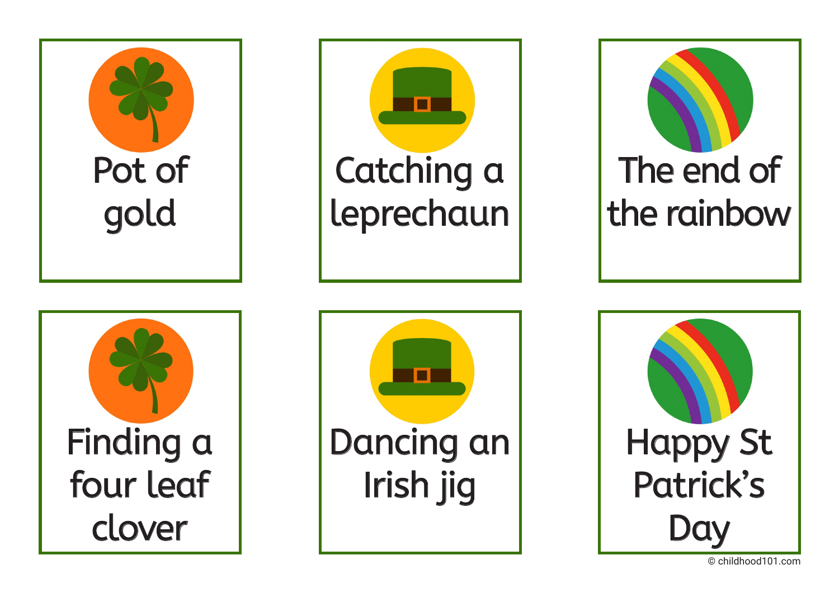



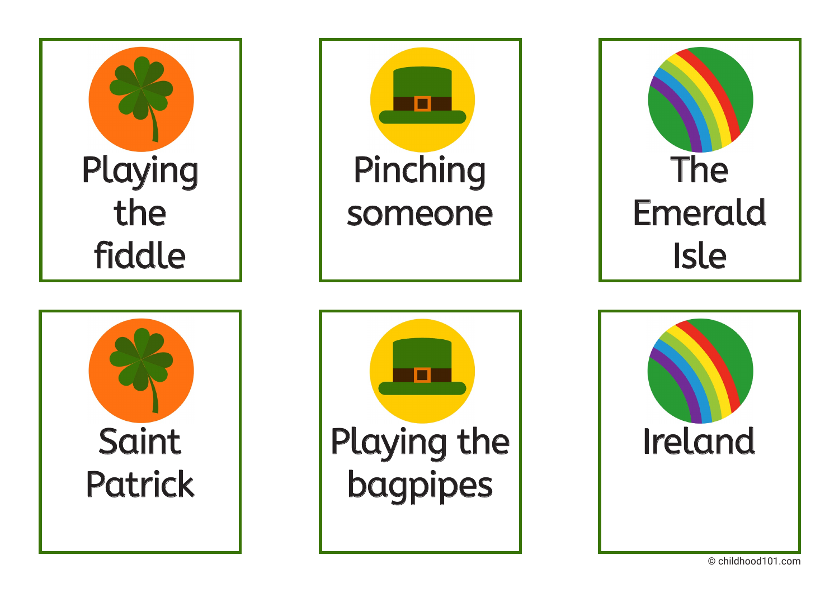





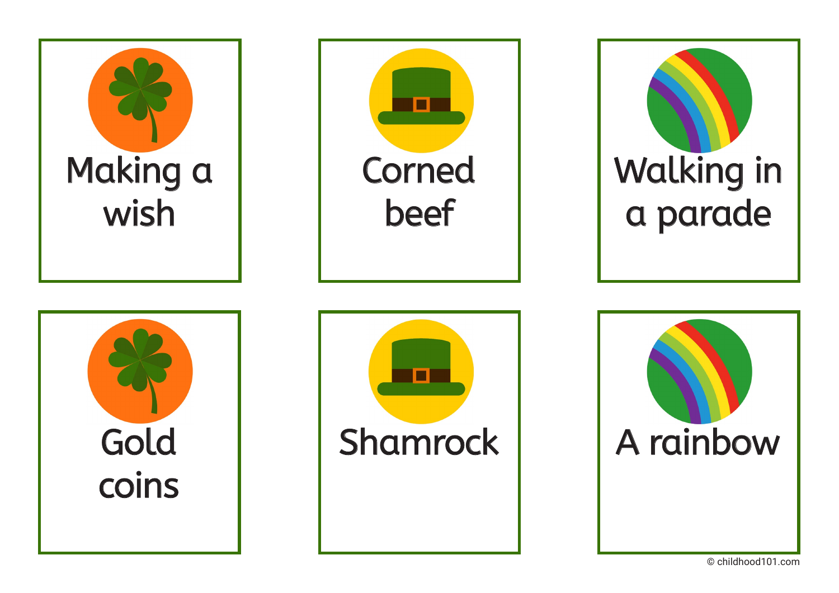